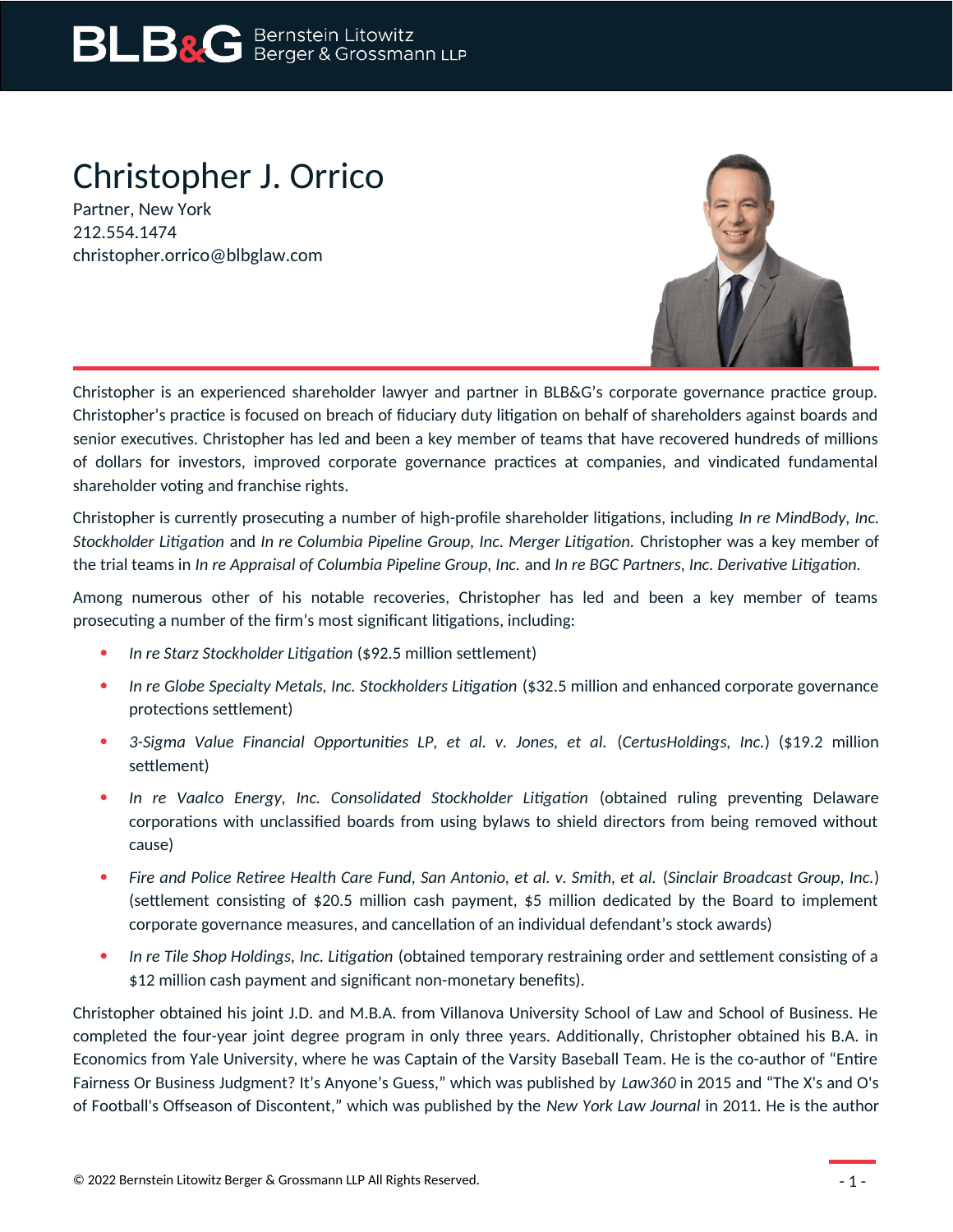# Christopher J. Orrico

Partner, New York 212.554.1474 christopher.orrico@blbglaw.com



Christopher is an experienced shareholder lawyer and partner in BLB&G's corporate governance practice group. Christopher's practice is focused on breach of fiduciary duty litigation on behalf of shareholders against boards and senior executives. Christopher has led and been a key member of teams that have recovered hundreds of millions of dollars for investors, improved corporate governance practices at companies, and vindicated fundamental shareholder voting and franchise rights.

Christopher is currently prosecuting a number of high-profile shareholder litigations, including *In re MindBody, Inc. Stockholder Litigation* and *In re Columbia Pipeline Group, Inc. Merger Litigation.* Christopher was a key member of the trial teams in *In re Appraisal of Columbia Pipeline Group, Inc.* and *In re BGC Partners, Inc. Derivative Litigation.*

Among numerous other of his notable recoveries, Christopher has led and been a key member of teams prosecuting a number of the firm's most significant litigations, including:

- *In re Starz Stockholder Litigation* (\$92.5 million settlement)
- *In re Globe Specialty Metals, Inc. Stockholders Litigation* (\$32.5 million and enhanced corporate governance protections settlement)
- *3-Sigma Value Financial Opportunities LP, et al. v. Jones, et al.* (*CertusHoldings, Inc.*) (\$19.2 million settlement)
- *In re Vaalco Energy, Inc. Consolidated Stockholder Litigation* (obtained ruling preventing Delaware corporations with unclassified boards from using bylaws to shield directors from being removed without cause)
- *Fire and Police Retiree Health Care Fund, San Antonio, et al. v. Smith, et al.* (*Sinclair Broadcast Group, Inc.*) (settlement consisting of \$20.5 million cash payment, \$5 million dedicated by the Board to implement corporate governance measures, and cancellation of an individual defendant's stock awards)
- *In re Tile Shop Holdings, Inc. Litigation* (obtained temporary restraining order and settlement consisting of a \$12 million cash payment and significant non-monetary benefits).

Christopher obtained his joint J.D. and M.B.A. from Villanova University School of Law and School of Business. He completed the four-year joint degree program in only three years. Additionally, Christopher obtained his B.A. in Economics from Yale University, where he was Captain of the Varsity Baseball Team. He is the co-author of "Entire Fairness Or Business Judgment? It's Anyone's Guess," which was published by *Law360* in 2015 and "The X's and O's of Football's Offseason of Discontent," which was published by the *New York Law Journal* in 2011. He is the author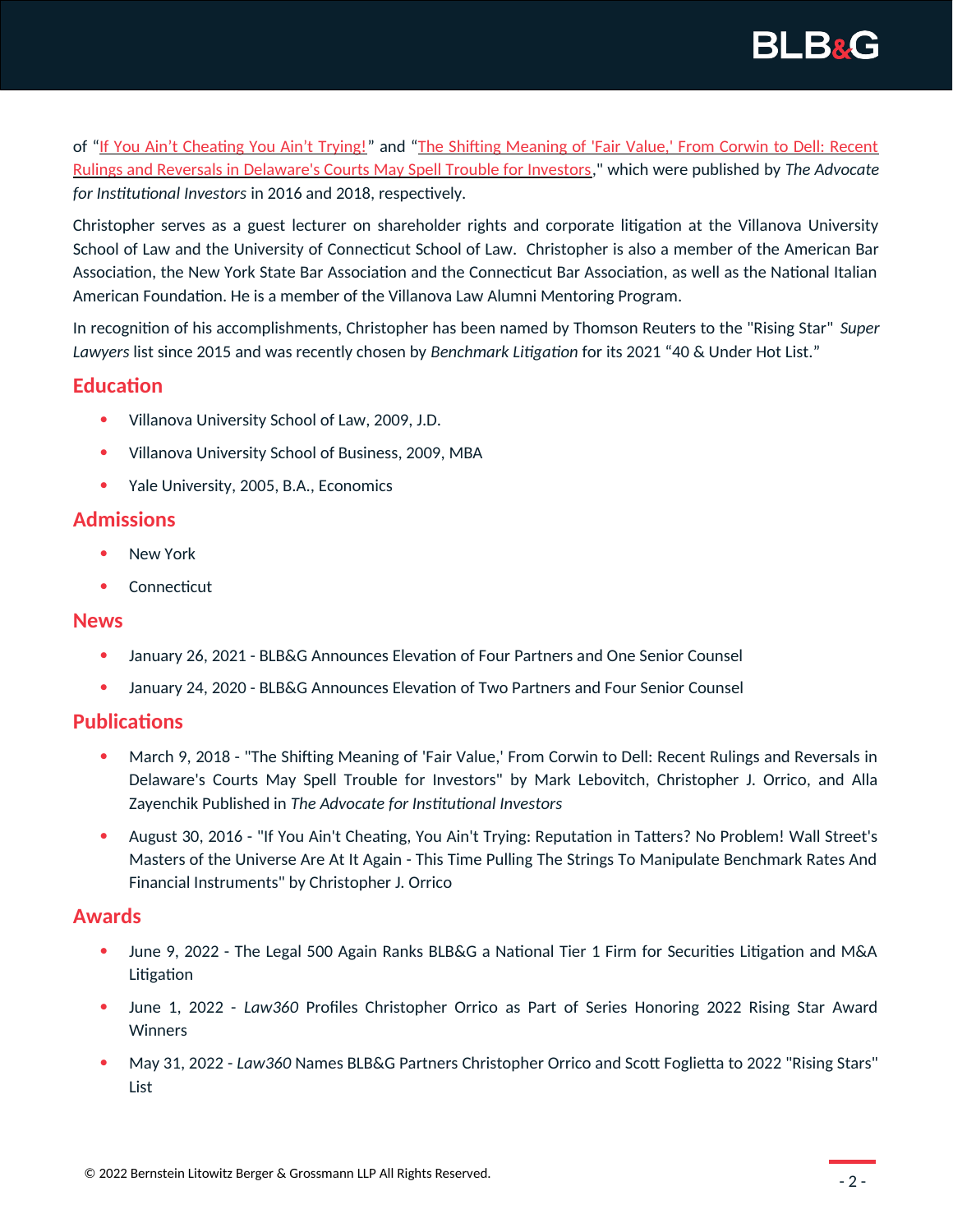

of "[If You Ain't Cheating You Ain't Trying!](https://www.blbglaw.com/news/publications/2016-08-30-if-you-aint-cheating-you-aint-trying-reputation-in-tatters-no-problem-wall-streets-masters-of-the-universe-are-at-it-again-this-time-pulling-the-strings-to-manipulate-benchmark-rates-and-financial-instruments-by-cj-orrico/_res/id=File1)" and ["The Shifting Meaning of 'Fair Value,' From Corwin to Dell: Recent](https://www.blbglaw.com/news/publications/data/00222/_res/id=File1/Advocate_winter2018_Lebovitch_Orrico_Zayenchik.pdf) [Rulings and Reversals in Delaware's Courts May Spell Trouble for Investors,](https://www.blbglaw.com/news/publications/data/00222/_res/id=File1/Advocate_winter2018_Lebovitch_Orrico_Zayenchik.pdf)" which were published by *The Advocate for Institutional Investors* in 2016 and 2018, respectively.

Christopher serves as a guest lecturer on shareholder rights and corporate litigation at the Villanova University School of Law and the University of Connecticut School of Law. Christopher is also a member of the American Bar Association, the New York State Bar Association and the Connecticut Bar Association, as well as the National Italian American Foundation. He is a member of the Villanova Law Alumni Mentoring Program.

In recognition of his accomplishments, Christopher has been named by Thomson Reuters to the "Rising Star" *Super Lawyers* list since 2015 and was recently chosen by *Benchmark Litigation* for its 2021 "40 & Under Hot List."

## **Education**

- Villanova University School of Law, 2009, J.D.
- Villanova University School of Business, 2009, MBA
- Yale University, 2005, B.A., Economics

## **Admissions**

- New York
- Connecticut

#### **News**

- January 26, 2021 BLB&G Announces Elevation of Four Partners and One Senior Counsel
- January 24, 2020 BLB&G Announces Elevation of Two Partners and Four Senior Counsel

## **Publications**

- March 9, 2018 "The Shifting Meaning of 'Fair Value,' From Corwin to Dell: Recent Rulings and Reversals in Delaware's Courts May Spell Trouble for Investors" by Mark Lebovitch, Christopher J. Orrico, and Alla Zayenchik Published in *The Advocate for Institutional Investors*
- August 30, 2016 "If You Ain't Cheating, You Ain't Trying: Reputation in Tatters? No Problem! Wall Street's Masters of the Universe Are At It Again - This Time Pulling The Strings To Manipulate Benchmark Rates And Financial Instruments" by Christopher J. Orrico

#### **Awards**

- June 9, 2022 The Legal 500 Again Ranks BLB&G a National Tier 1 Firm for Securities Litigation and M&A Litigation
- June 1, 2022 *Law360* Profiles Christopher Orrico as Part of Series Honoring 2022 Rising Star Award **Winners**
- May 31, 2022 *Law360* Names BLB&G Partners Christopher Orrico and Scott Foglietta to 2022 "Rising Stars" List